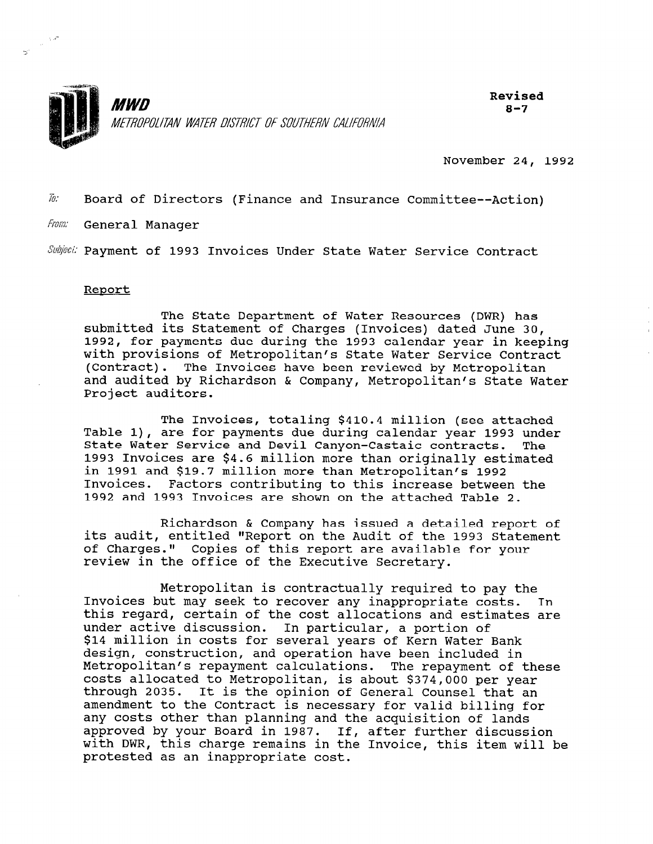

Revised  $8 - 7$ 

November 24, 1992

 $\bar{w}$ . Board of Directors (Finance and Insurance Committee--Action)

From: General Manager

Subject: Payment of 1993 Invoices Under State Water Service Contract

#### Report

 $\frac{1}{\sqrt{2}}$  ,  $\frac{1}{2}$ 

 $\mathbf{e}_i$ 

The State Department of Water Resources (DWR) has submitted its Statement of Charges (Invoices) dated June 30, 1992, for payments due during the 1993 calendar year in keeping with provisions of Metropolitan's State Water Service Contract (Contract). The Invoices have been reviewed by Metropolitan and audited by Richardson & Company, Metropolitan's State Water Project auditors.

The Invoices, totaling \$410.4 million (see attached Table l), are for payments due during calendar year 1993 under State Water Service and Devil Canyon-Castaic contracts. The 1993 Invoices are \$4.6 million more than originally estimated in 1991 and \$19.7 million more than Metropolitan's 1992 Invoices. Factors contributing to this increase between the 1992 and 1993 Invoices are shown on the attached Table 2.

Richardson & Company has issued a detailed report of its audit, entitled "Report on the Audit of the 1993 Statement of Charges." Copies of this report are available for your review in the office of the Executive Secretary.

Metropolitan is contractually required to pay the Invoices but may seek to recover any incredible to pay the this regard, certain of the cost allocations and estimates are unts regard, certain of the cost affocations and estiunder active discussion. In particular, a portion of \$14 million in costs for several years of Kern Water Bank design, construction, and operation have been included in<br>Metropolitan's repayment calculations. The repayment of these metropolitan s repayment calculations. The repayment of th<br>costs allocated to Metropolitan, is about \$374,000 person costs allocated to Metropolitan, is about \$374,000 per year.<br>through 2025. It is the opinion of General General that through 2035. It is the opinion of General Counsel that an amendment to the Contract is necessary for valid billing for<br>any costs other than planning and the acquisition of lands any costs other than pianning and the acquisition of lands.<br>Approved by your Board in 1997. If, after further discusse approved by your Board in 1987, II, after further discussion<br>with PWR, this charge remains in the Involving will be with DWR, this charge remains in the Invoice, this item will be<br>protested as an inappropriate cost.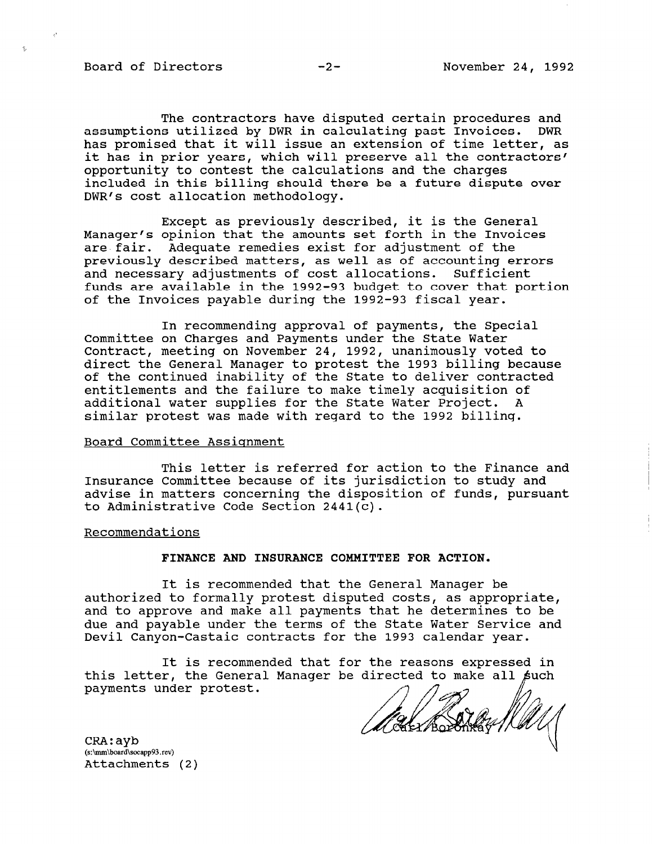Board of Directors -2- November 24, 1992

 $\hat{\Sigma}$ 

The contractors have disputed certain procedures and assumptions utilized by DWR in calculating past Invoices. DWR has promised that it will issue an extension of time letter, as it has in prior years, which will preserve all the contractors' opportunity to contest the calculations and the charges included in this billing should there be a future dispute over DWR's cost allocation methodology.

Except as previously described, it is the General Manager's opinion that the amounts set forth in the Invoices are fair. Adequate remedies exist for adjustment of the previously described matters, as well as of accounting errors and necessary adjustments of cost allocations. Sufficient funds are available in the 1992-93 budget to cover that portion of the Invoices payable during the 1992-93 fiscal year.

In recommending approval of payments, the Special Committee on Charges and Payments under the State Water Contract, meeting on November 24, 1992, unanimously voted to direct the General Manager to protest the 1993 billing because of the continued inability of the State to deliver contracted entitlements and the failure to make timely acquisition of additional water supplies for the State Water Project. A similar protest was made with regard to the 1992 billing.

### Board Committee Assignment

This letter is referred for action to the Finance and Insurance Committee because of its jurisdiction to study and advise in matters concerning the disposition of funds, pursuant to Administrative Code Section 2441(c).

Recommendations

#### FINANCE AND INSURANCE COMMITTEE FOR ACTION.

It is recommended that the General Manager be authorized to formally protest disputed costs, as appropriate, authorized to formally protest disputed tosts, as appropriate due and payable under the terms of the State Water Central and due and payable under the terms of the State Water Service and<br>Devil Canyon-Castaic contracts for the 1993 calendar year.

It is recommended that for the reasons expressed in It is recommended that for the reasons expressed in payments under protest.

 $\texttt{CRA:}$ ayb (s:\mm\board\socapp93.rev)<br>Attachments (2)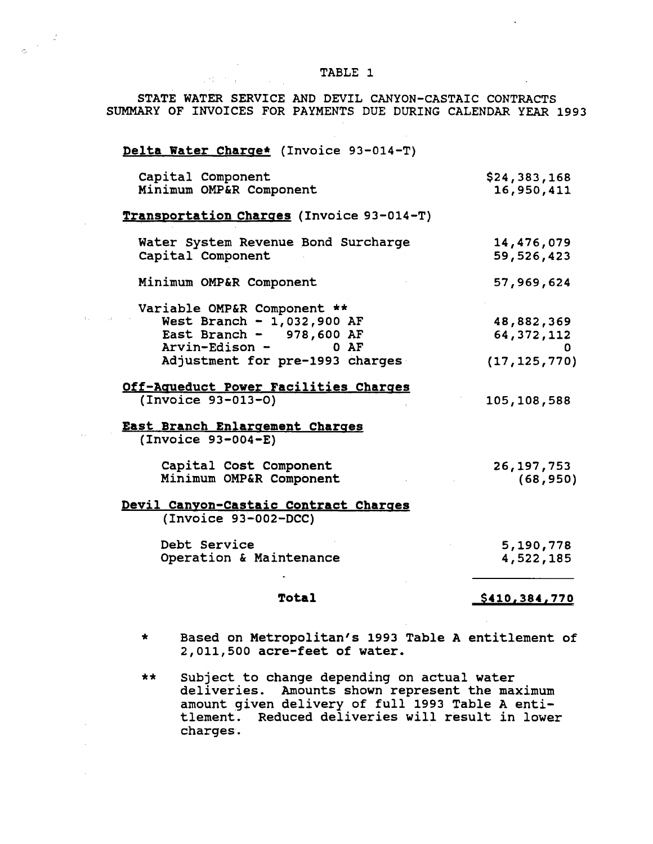## TABLE 1

STATE WATER SERVICE AND DEVIL CANYON-CASTAIC CONTRACTS SUMMARY OF INVOICES FOR PAYMENTS DUE DURING CALENDAR YEAR 1993

# Delta Water Charge\* (Invoice 93-014-T)

Settlement of the Control

 $\frac{1}{\phi} \left( \frac{1}{\phi} \right)^{\frac{1}{2}}$ 

 $\sim$ 

state of the

| Capital Component<br>Minimum OMP&R Component | \$24,383,168   |
|----------------------------------------------|----------------|
|                                              | 16,950,411     |
| Transportation Charges (Invoice 93-014-T)    |                |
| Water System Revenue Bond Surcharge          | 14,476,079     |
| Capital Component                            | 59,526,423     |
| Minimum OMP&R Component                      | 57,969,624     |
| Variable OMP&R Component **                  |                |
| West Branch - $1,032,900$ AF                 | 48,882,369     |
| East Branch - $978,600$ AF                   | 64, 372, 112   |
| Arvin-Edison -<br>$0$ AF                     | O.             |
| Adjustment for pre-1993 charges              | (17, 125, 770) |
| Off-Aqueduct Power Facilities Charges        |                |
| $(Invoice 93-013-0)$                         | 105,108,588    |
| <u>East Branch Enlargement Charges</u>       |                |
| $( Invoice 93-004-E)$                        |                |
| Capital Cost Component                       | 26, 197, 753   |
| Minimum OMP&R Component                      | (68, 950)      |
| <u>Devil Canyon-Castaic Contract Charges</u> |                |
| (Invoice 93-002-DCC)                         |                |
| Debt Service                                 | 5,190,778      |
| Operation & Maintenance                      | 4,522,185      |
| <b>Total</b>                                 | \$410,384,770  |

- \* Based on Metropolitan's 1993 Table A entitlement of 2,011,500 acre-feet of water.
- \*\* Subject to change depending on actual water bubject to change depending on actual water<br>deliveries. Amounts shown represent the maximum amount given delivery of full 1993 Table A entiamount given delivery of full 1993 Table A enticiemen.<br>........